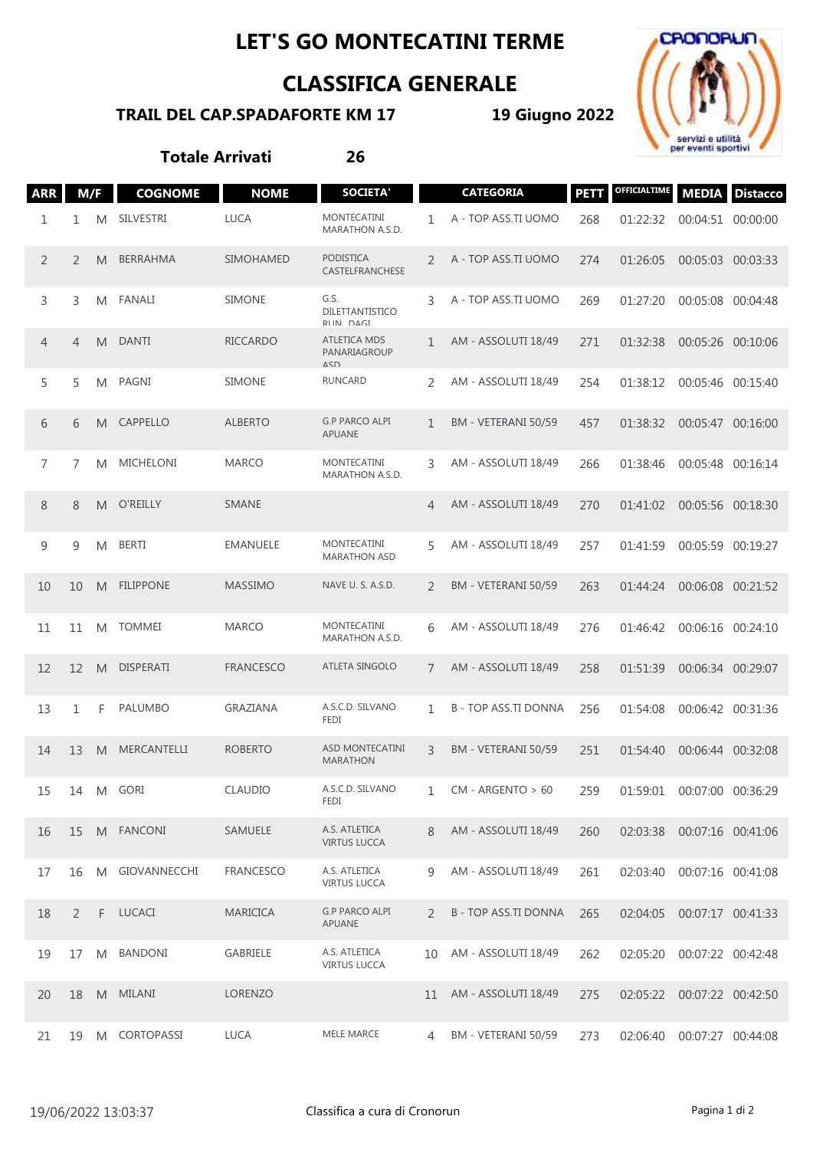## **LET'S GO MONTECATINI TERME**

## **CLASSIFICA GENERALE**

## **TRAIL DEL CAP.SPADAFORTE KM 17**

**19 Giugno 2022**



**Totale Arrivati 26**

| <b>ARR</b>     | M/F |   | <b>COGNOME</b>     | <b>NOME</b>      | <b>SOCIETA'</b>                             |               | <b>CATEGORIA</b>          | <b>PETT</b> | <b>OFFICIALTIME</b>        |                   | <b>MEDIA</b> Distacco |
|----------------|-----|---|--------------------|------------------|---------------------------------------------|---------------|---------------------------|-------------|----------------------------|-------------------|-----------------------|
| 1              | 1   | M | <b>SILVESTRI</b>   | <b>LUCA</b>      | <b>MONTECATINI</b><br>MARATHON A.S.D.       | 1             | A - TOP ASS.TI UOMO       | 268         | 01:22:32                   | 00:04:51 00:00:00 |                       |
| 2              | 2   | M | BERRAHMA           | <b>SIMOHAMED</b> | <b>PODISTICA</b><br>CASTELFRANCHESE         | 2             | A - TOP ASS.TI UOMO       | 274         | 01:26:05                   | 00:05:03 00:03:33 |                       |
| 3              | 3   | M | <b>FANALI</b>      | <b>SIMONE</b>    | G.S.<br>DILETTANTISTICO<br>RIIN DAGI        | 3             | A - TOP ASS.TI UOMO       | 269         | 01:27:20                   | 00:05:08          | 00:04:48              |
| 4              | 4   | M | <b>DANTI</b>       | <b>RICCARDO</b>  | ATLETICA MDS<br>PANARIAGROUP<br>$\triangle$ | 1             | AM - ASSOLUTI 18/49       | 271         | 01:32:38                   | 00:05:26 00:10:06 |                       |
| 5              | 5   | M | PAGNI              | <b>SIMONE</b>    | <b>RUNCARD</b>                              | 2             | AM - ASSOLUTI 18/49       | 254         | 01:38:12                   | 00:05:46 00:15:40 |                       |
| 6              | 6   | M | CAPPELLO           | <b>ALBERTO</b>   | <b>G.P PARCO ALPI</b><br>APUANE             | 1             | BM - VETERANI 50/59       | 457         | 01:38:32                   | 00:05:47 00:16:00 |                       |
| $\overline{7}$ | 7   | M | <b>MICHELONI</b>   | <b>MARCO</b>     | MONTECATINI<br>MARATHON A.S.D.              | 3             | AM - ASSOLUTI 18/49       | 266         | 01:38:46                   | 00:05:48 00:16:14 |                       |
| 8              | 8   | M | O'REILLY           | <b>SMANE</b>     |                                             | 4             | AM - ASSOLUTI 18/49       | 270         | 01:41:02                   | 00:05:56 00:18:30 |                       |
| 9              | 9   | M | <b>BERTI</b>       | <b>EMANUELE</b>  | <b>MONTECATINI</b><br><b>MARATHON ASD</b>   | 5             | AM - ASSOLUTI 18/49       | 257         | 01:41:59                   | 00:05:59 00:19:27 |                       |
| 10             | 10  | M | <b>FILIPPONE</b>   | <b>MASSIMO</b>   | NAVE U. S. A.S.D.                           | 2             | BM - VETERANI 50/59       | 263         | 01:44:24                   | 00:06:08 00:21:52 |                       |
| 11             | 11  | M | <b>TOMMEI</b>      | <b>MARCO</b>     | MONTECATINI<br>MARATHON A.S.D.              | 6             | AM - ASSOLUTI 18/49       | 276         | 01:46:42                   | 00:06:16 00:24:10 |                       |
| 12             | 12  | M | <b>DISPERATI</b>   | <b>FRANCESCO</b> | ATLETA SINGOLO                              | 7             | AM - ASSOLUTI 18/49       | 258         | 01:51:39                   | 00:06:34 00:29:07 |                       |
| 13             | 1   | F | <b>PALUMBO</b>     | GRAZIANA         | A.S.C.D. SILVANO<br>FEDI                    | 1             | <b>B-TOP ASS.TI DONNA</b> | 256         | 01:54:08                   | 00:06:42 00:31:36 |                       |
| 14             | 13  | M | <b>MERCANTELLI</b> | <b>ROBERTO</b>   | ASD MONTECATINI<br><b>MARATHON</b>          | 3             | BM - VETERANI 50/59       | 251         | 01:54:40                   | 00:06:44 00:32:08 |                       |
| 15             |     |   | 14 M GORI          | CLAUDIO          | A.S.C.D. SILVANO<br>FEDI                    | $\mathbf{1}$  | $CM - ARGENTO > 60$       | 259         | 01:59:01                   | 00:07:00 00:36:29 |                       |
| 16             | 15  |   | M FANCONI          | SAMUELE          | A.S. ATLETICA<br><b>VIRTUS LUCCA</b>        | 8             | AM - ASSOLUTI 18/49       | 260         | 02:03:38 00:07:16 00:41:06 |                   |                       |
| 17             | 16  | M | GIOVANNECCHI       | FRANCESCO        | A.S. ATLETICA<br><b>VIRTUS LUCCA</b>        | 9             | AM - ASSOLUTI 18/49       | 261         | 02:03:40                   | 00:07:16 00:41:08 |                       |
| 18             | 2   | F | LUCACI             | <b>MARICICA</b>  | <b>G.P PARCO ALPI</b><br>APUANE             | $\mathcal{P}$ | <b>B-TOP ASS.TI DONNA</b> | 265         | 02:04:05                   | 00:07:17 00:41:33 |                       |
| 19             | 17  | M | <b>BANDONI</b>     | GABRIELE         | A.S. ATLETICA<br><b>VIRTUS LUCCA</b>        | $10^{\circ}$  | AM - ASSOLUTI 18/49       | 262         | 02:05:20                   | 00:07:22 00:42:48 |                       |
| 20             | 18  |   | M MILANI           | LORENZO          |                                             | 11            | AM - ASSOLUTI 18/49       | 275         | 02:05:22                   | 00:07:22 00:42:50 |                       |
| 21             | 19  |   | M CORTOPASSI       | LUCA             | MELE MARCE                                  | 4             | BM - VETERANI 50/59       | 273         | 02:06:40 00:07:27 00:44:08 |                   |                       |